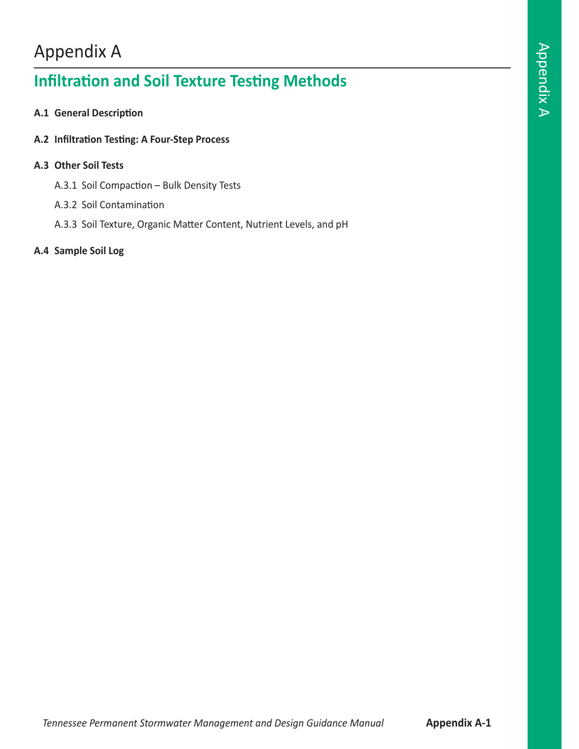# Appendix A

## **Infiltration and Soil Texture Testing Methods**

- **A.1 General Description**
- **A.2 Infiltration Testing: A Four-Step Process**

## **A.3 Other Soil Tests**

- A.3.1 Soil Compaction Bulk Density Tests
- A.3.2 Soil Contamination
- A.3.3 Soil Texture, Organic Matter Content, Nutrient Levels, and pH

## **A.4 Sample Soil Log**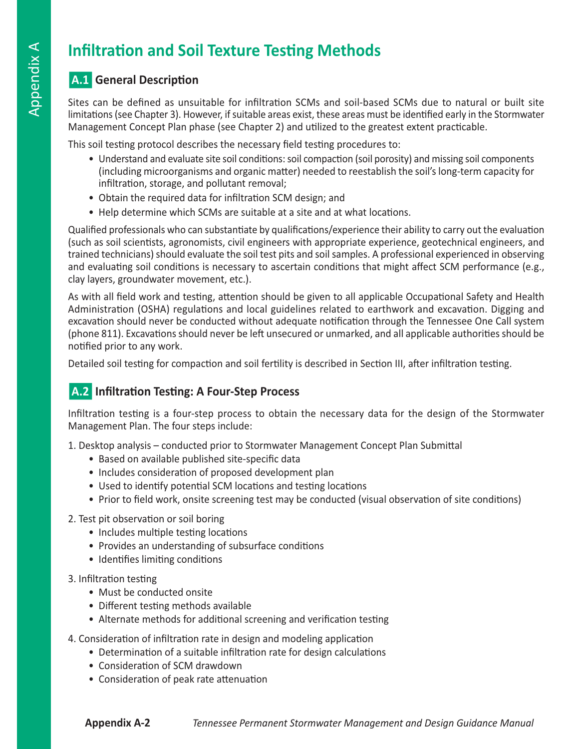## **Infiltration and Soil Texture Testing Methods**

## n**A.1 General Description**

Sites can be defined as unsuitable for infiltration SCMs and soil-based SCMs due to natural or built site limitations (see Chapter 3). However, if suitable areas exist, these areas must be identified early in the Stormwater Management Concept Plan phase (see Chapter 2) and utilized to the greatest extent practicable.

This soil testing protocol describes the necessary field testing procedures to:

- Understand and evaluate site soil conditions: soil compaction (soil porosity) and missing soil components (including microorganisms and organic matter) needed to reestablish the soil's long-term capacity for infiltration, storage, and pollutant removal;
- Obtain the required data for infiltration SCM design; and
- Help determine which SCMs are suitable at a site and at what locations.

Qualified professionals who can substantiate by qualifications/experience their ability to carry out the evaluation (such as soil scientists, agronomists, civil engineers with appropriate experience, geotechnical engineers, and trained technicians) should evaluate the soil test pits and soil samples. A professional experienced in observing and evaluating soil conditions is necessary to ascertain conditions that might affect SCM performance (e.g., clay layers, groundwater movement, etc.).

As with all field work and testing, attention should be given to all applicable Occupational Safety and Health Administration (OSHA) regulations and local guidelines related to earthwork and excavation. Digging and excavation should never be conducted without adequate notification through the Tennessee One Call system (phone 811). Excavations should never be left unsecured or unmarked, and all applicable authorities should be notified prior to any work.

Detailed soil testing for compaction and soil fertility is described in Section III, after infiltration testing.

## **A.2** Infiltration Testing: A Four-Step Process

Infiltration testing is a four-step process to obtain the necessary data for the design of the Stormwater Management Plan. The four steps include:

1. Desktop analysis – conducted prior to Stormwater Management Concept Plan Submittal

- Based on available published site-specific data
- Includes consideration of proposed development plan
- Used to identify potential SCM locations and testing locations
- Prior to field work, onsite screening test may be conducted (visual observation of site conditions)

## 2. Test pit observation or soil boring

- Includes multiple testing locations
- Provides an understanding of subsurface conditions
- Identifies limiting conditions

## 3. Infiltration testing

- Must be conducted onsite
- Different testing methods available
- Alternate methods for additional screening and verification testing
- 4. Consideration of infiltration rate in design and modeling application
	- Determination of a suitable infiltration rate for design calculations
	- Consideration of SCM drawdown
	- Consideration of peak rate attenuation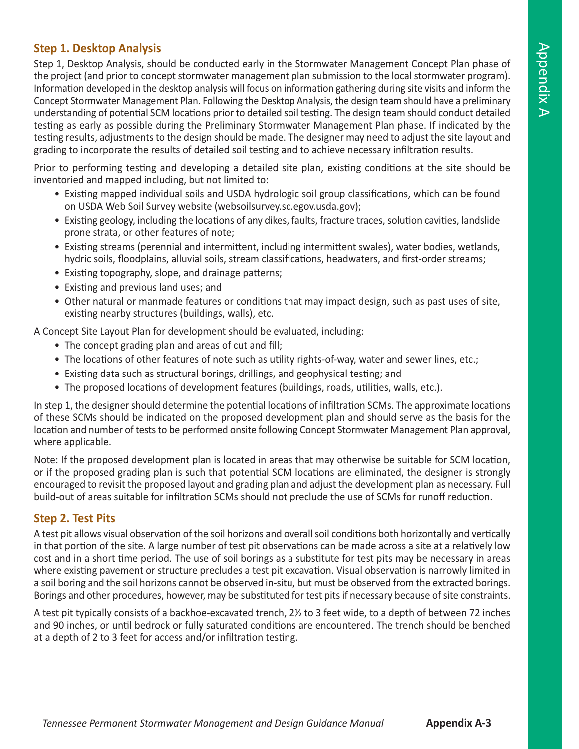## **Step 1. Desktop Analysis**

Step 1, Desktop Analysis, should be conducted early in the Stormwater Management Concept Plan phase of the project (and prior to concept stormwater management plan submission to the local stormwater program). Information developed in the desktop analysis will focus on information gathering during site visits and inform the Concept Stormwater Management Plan. Following the Desktop Analysis, the design team should have a preliminary understanding of potential SCM locations prior to detailed soil testing. The design team should conduct detailed testing as early as possible during the Preliminary Stormwater Management Plan phase. If indicated by the testing results, adjustments to the design should be made. The designer may need to adjust the site layout and grading to incorporate the results of detailed soil testing and to achieve necessary infiltration results.

Prior to performing testing and developing a detailed site plan, existing conditions at the site should be inventoried and mapped including, but not limited to:

- Existing mapped individual soils and USDA hydrologic soil group classifications, which can be found on USDA Web Soil Survey website (websoilsurvey.sc.egov.usda.gov);
- Existing geology, including the locations of any dikes, faults, fracture traces, solution cavities, landslide prone strata, or other features of note;
- Existing streams (perennial and intermittent, including intermittent swales), water bodies, wetlands, hydric soils, floodplains, alluvial soils, stream classifications, headwaters, and first-order streams;
- Existing topography, slope, and drainage patterns;
- Existing and previous land uses; and
- Other natural or manmade features or conditions that may impact design, such as past uses of site, existing nearby structures (buildings, walls), etc.

A Concept Site Layout Plan for development should be evaluated, including:

- The concept grading plan and areas of cut and fill;
- The locations of other features of note such as utility rights-of-way, water and sewer lines, etc.;
- Existing data such as structural borings, drillings, and geophysical testing; and
- The proposed locations of development features (buildings, roads, utilities, walls, etc.).

In step 1, the designer should determine the potential locations of infiltration SCMs. The approximate locations of these SCMs should be indicated on the proposed development plan and should serve as the basis for the location and number of tests to be performed onsite following Concept Stormwater Management Plan approval, where applicable.

Note: If the proposed development plan is located in areas that may otherwise be suitable for SCM location, or if the proposed grading plan is such that potential SCM locations are eliminated, the designer is strongly encouraged to revisit the proposed layout and grading plan and adjust the development plan as necessary. Full build-out of areas suitable for infiltration SCMs should not preclude the use of SCMs for runoff reduction.

## **Step 2. Test Pits**

A test pit allows visual observation of the soil horizons and overall soil conditions both horizontally and vertically in that portion of the site. A large number of test pit observations can be made across a site at a relatively low cost and in a short time period. The use of soil borings as a substitute for test pits may be necessary in areas where existing pavement or structure precludes a test pit excavation. Visual observation is narrowly limited in a soil boring and the soil horizons cannot be observed in-situ, but must be observed from the extracted borings. Borings and other procedures, however, may be substituted for test pits if necessary because of site constraints.

A test pit typically consists of a backhoe-excavated trench, 2½ to 3 feet wide, to a depth of between 72 inches and 90 inches, or until bedrock or fully saturated conditions are encountered. The trench should be benched at a depth of 2 to 3 feet for access and/or infiltration testing.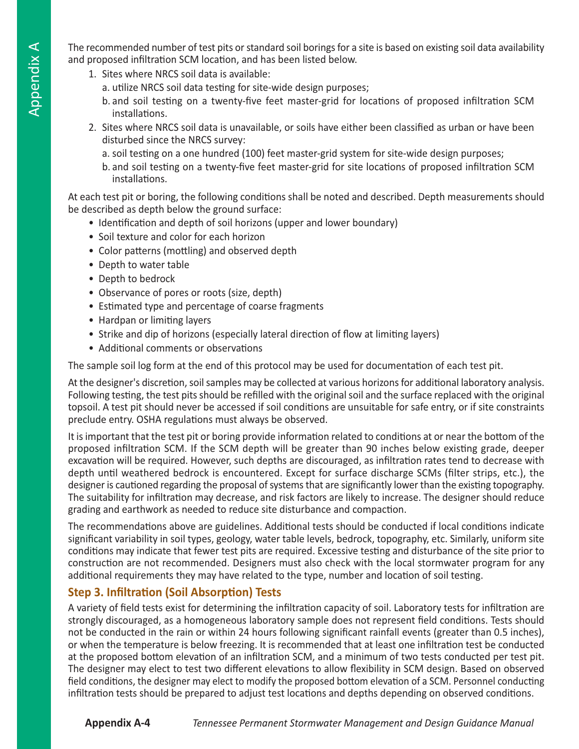The recommended number of test pits or standard soil borings for a site is based on existing soil data availability and proposed infiltration SCM location, and has been listed below.

- 1. Sites where NRCS soil data is available:
	- a. utilize NRCS soil data testing for site-wide design purposes;
	- b. and soil testing on a twenty-five feet master-grid for locations of proposed infiltration SCM installations.
- 2. Sites where NRCS soil data is unavailable, or soils have either been classified as urban or have been disturbed since the NRCS survey:
	- a. soil testing on a one hundred (100) feet master-grid system for site-wide design purposes;
	- b. and soil testing on a twenty-five feet master-grid for site locations of proposed infiltration SCM installations.

At each test pit or boring, the following conditions shall be noted and described. Depth measurements should be described as depth below the ground surface:

- Identification and depth of soil horizons (upper and lower boundary)
- Soil texture and color for each horizon
- Color patterns (mottling) and observed depth
- Depth to water table
- Depth to bedrock
- Observance of pores or roots (size, depth)
- Estimated type and percentage of coarse fragments
- Hardpan or limiting layers
- Strike and dip of horizons (especially lateral direction of flow at limiting layers)
- Additional comments or observations

The sample soil log form at the end of this protocol may be used for documentation of each test pit.

At the designer's discretion, soil samples may be collected at various horizons for additional laboratory analysis. Following testing, the test pits should be refilled with the original soil and the surface replaced with the original topsoil. A test pit should never be accessed if soil conditions are unsuitable for safe entry, or if site constraints preclude entry. OSHA regulations must always be observed.

It is important that the test pit or boring provide information related to conditions at or near the bottom of the proposed infiltration SCM. If the SCM depth will be greater than 90 inches below existing grade, deeper excavation will be required. However, such depths are discouraged, as infiltration rates tend to decrease with depth until weathered bedrock is encountered. Except for surface discharge SCMs (filter strips, etc.), the designer is cautioned regarding the proposal of systems that are significantly lower than the existing topography. The suitability for infiltration may decrease, and risk factors are likely to increase. The designer should reduce grading and earthwork as needed to reduce site disturbance and compaction.

The recommendations above are guidelines. Additional tests should be conducted if local conditions indicate significant variability in soil types, geology, water table levels, bedrock, topography, etc. Similarly, uniform site conditions may indicate that fewer test pits are required. Excessive testing and disturbance of the site prior to construction are not recommended. Designers must also check with the local stormwater program for any additional requirements they may have related to the type, number and location of soil testing.

## **Step 3. Infiltration (Soil Absorption) Tests**

A variety of field tests exist for determining the infiltration capacity of soil. Laboratory tests for infiltration are strongly discouraged, as a homogeneous laboratory sample does not represent field conditions. Tests should not be conducted in the rain or within 24 hours following significant rainfall events (greater than 0.5 inches), or when the temperature is below freezing. It is recommended that at least one infiltration test be conducted at the proposed bottom elevation of an infiltration SCM, and a minimum of two tests conducted per test pit. The designer may elect to test two different elevations to allow flexibility in SCM design. Based on observed field conditions, the designer may elect to modify the proposed bottom elevation of a SCM. Personnel conducting infiltration tests should be prepared to adjust test locations and depths depending on observed conditions.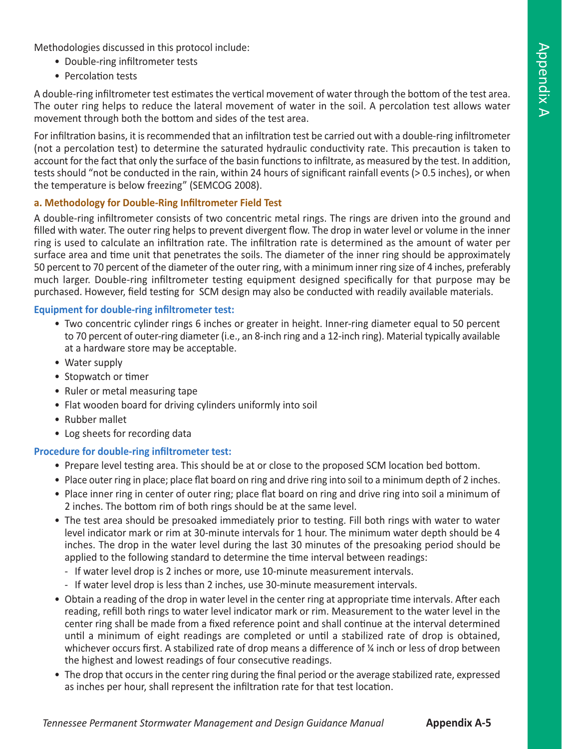Methodologies discussed in this protocol include:

- Double-ring infiltrometer tests
- Percolation tests

A double-ring infiltrometer test estimates the vertical movement of water through the bottom of the test area. The outer ring helps to reduce the lateral movement of water in the soil. A percolation test allows water movement through both the bottom and sides of the test area.

For infiltration basins, it is recommended that an infiltration test be carried out with a double-ring infiltrometer (not a percolation test) to determine the saturated hydraulic conductivity rate. This precaution is taken to account for the fact that only the surface of the basin functions to infiltrate, as measured by the test. In addition, tests should "not be conducted in the rain, within 24 hours of significant rainfall events (> 0.5 inches), or when the temperature is below freezing" (SEMCOG 2008).

### **a. Methodology for Double-Ring Infiltrometer Field Test**

A double-ring infiltrometer consists of two concentric metal rings. The rings are driven into the ground and filled with water. The outer ring helps to prevent divergent flow. The drop in water level or volume in the inner ring is used to calculate an infiltration rate. The infiltration rate is determined as the amount of water per surface area and time unit that penetrates the soils. The diameter of the inner ring should be approximately 50 percent to 70 percent of the diameter of the outer ring, with a minimum inner ring size of 4 inches, preferably much larger. Double-ring infiltrometer testing equipment designed specifically for that purpose may be purchased. However, field testing for SCM design may also be conducted with readily available materials.

#### **Equipment for double-ring infiltrometer test:**

- Two concentric cylinder rings 6 inches or greater in height. Inner-ring diameter equal to 50 percent to 70 percent of outer-ring diameter (i.e., an 8-inch ring and a 12-inch ring). Material typically available at a hardware store may be acceptable.
- Water supply
- Stopwatch or timer
- Ruler or metal measuring tape
- Flat wooden board for driving cylinders uniformly into soil
- Rubber mallet
- Log sheets for recording data

#### **Procedure for double-ring infiltrometer test:**

- Prepare level testing area. This should be at or close to the proposed SCM location bed bottom.
- Place outer ring in place; place flat board on ring and drive ring into soil to a minimum depth of 2 inches.
- Place inner ring in center of outer ring; place flat board on ring and drive ring into soil a minimum of 2 inches. The bottom rim of both rings should be at the same level.
- The test area should be presoaked immediately prior to testing. Fill both rings with water to water level indicator mark or rim at 30-minute intervals for 1 hour. The minimum water depth should be 4 inches. The drop in the water level during the last 30 minutes of the presoaking period should be applied to the following standard to determine the time interval between readings:
	- If water level drop is 2 inches or more, use 10-minute measurement intervals.
	- If water level drop is less than 2 inches, use 30-minute measurement intervals.
- Obtain a reading of the drop in water level in the center ring at appropriate time intervals. After each reading, refill both rings to water level indicator mark or rim. Measurement to the water level in the center ring shall be made from a fixed reference point and shall continue at the interval determined until a minimum of eight readings are completed or until a stabilized rate of drop is obtained, whichever occurs first. A stabilized rate of drop means a difference of  $\frac{1}{4}$  inch or less of drop between the highest and lowest readings of four consecutive readings.
- The drop that occurs in the center ring during the final period or the average stabilized rate, expressed as inches per hour, shall represent the infiltration rate for that test location.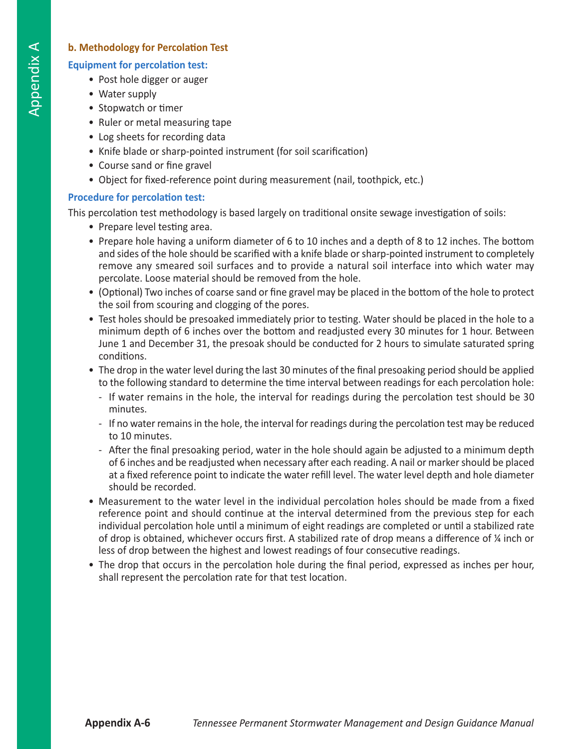## **b. Methodology for Percolation Test**

## **Equipment for percolation test:**

- Post hole digger or auger
- Water supply
- Stopwatch or timer
- Ruler or metal measuring tape
- Log sheets for recording data
- Knife blade or sharp-pointed instrument (for soil scarification)
- Course sand or fine gravel
- Object for fixed-reference point during measurement (nail, toothpick, etc.)

## **Procedure for percolation test:**

This percolation test methodology is based largely on traditional onsite sewage investigation of soils:

- Prepare level testing area.
- Prepare hole having a uniform diameter of 6 to 10 inches and a depth of 8 to 12 inches. The bottom and sides of the hole should be scarified with a knife blade or sharp-pointed instrument to completely remove any smeared soil surfaces and to provide a natural soil interface into which water may percolate. Loose material should be removed from the hole.
- (Optional) Two inches of coarse sand or fine gravel may be placed in the bottom of the hole to protect the soil from scouring and clogging of the pores.
- Test holes should be presoaked immediately prior to testing. Water should be placed in the hole to a minimum depth of 6 inches over the bottom and readjusted every 30 minutes for 1 hour. Between June 1 and December 31, the presoak should be conducted for 2 hours to simulate saturated spring conditions.
- The drop in the water level during the last 30 minutes of the final presoaking period should be applied to the following standard to determine the time interval between readings for each percolation hole:
	- If water remains in the hole, the interval for readings during the percolation test should be 30 minutes.
	- If no water remains in the hole, the interval for readings during the percolation test may be reduced to 10 minutes.
	- After the final presoaking period, water in the hole should again be adjusted to a minimum depth of 6 inches and be readjusted when necessary after each reading. A nail or marker should be placed at a fixed reference point to indicate the water refill level. The water level depth and hole diameter should be recorded.
- Measurement to the water level in the individual percolation holes should be made from a fixed reference point and should continue at the interval determined from the previous step for each individual percolation hole until a minimum of eight readings are completed or until a stabilized rate of drop is obtained, whichever occurs first. A stabilized rate of drop means a difference of ¼ inch or less of drop between the highest and lowest readings of four consecutive readings.
- The drop that occurs in the percolation hole during the final period, expressed as inches per hour, shall represent the percolation rate for that test location.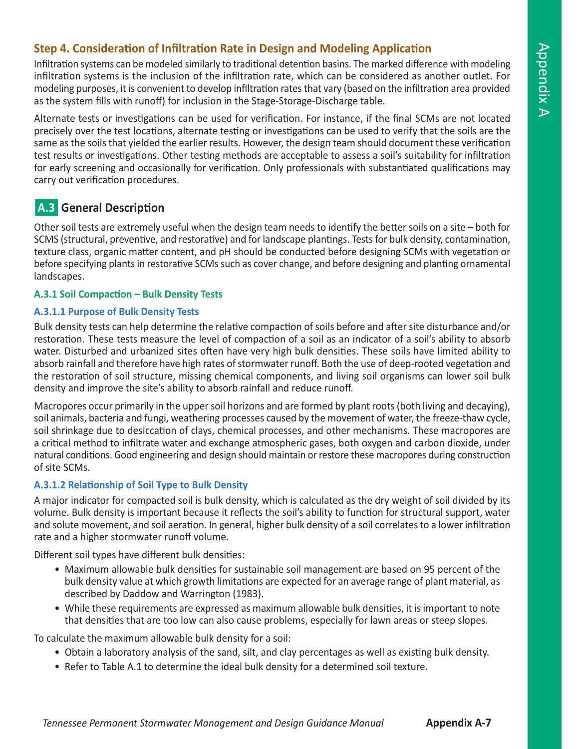## **Step 4. Consideration of Infiltration Rate in Design and Modeling Application**

Infiltration systems can be modeled similarly to traditional detention basins. The marked difference with modeling infiltration systems is the inclusion of the infiltration rate, which can be considered as another outlet. For modeling purposes, it is convenient to develop infiltration rates that vary (based on the infiltration area provided as the system fills with runoff) for inclusion in the Stage-Storage-Discharge table.

Alternate tests or investigations can be used for verification. For instance, if the final SCMs are not located precisely over the test locations, alternate testing or investigations can be used to verify that the soils are the same as the soils that yielded the earlier results. However, the design team should document these verification test results or investigations. Other testing methods are acceptable to assess a soil's suitability for infiltration for early screening and occasionally for verification. Only professionals with substantiated qualifications may carry out verification procedures.

## **A.3 General Description**

Other soil tests are extremely useful when the design team needs to identify the better soils on a site – both for SCMS (structural, preventive, and restorative) and for landscape plantings. Tests for bulk density, contamination, texture class, organic matter content, and pH should be conducted before designing SCMs with vegetation or before specifying plants in restorative SCMs such as cover change, and before designing and planting ornamental landscapes.

### **A.3.1 Soil Compaction – Bulk Density Tests**

### **A.3.1.1 Purpose of Bulk Density Tests**

Bulk density tests can help determine the relative compaction of soils before and after site disturbance and/or restoration. These tests measure the level of compaction of a soil as an indicator of a soil's ability to absorb water. Disturbed and urbanized sites often have very high bulk densities. These soils have limited ability to absorb rainfall and therefore have high rates of stormwater runoff. Both the use of deep-rooted vegetation and the restoration of soil structure, missing chemical components, and living soil organisms can lower soil bulk density and improve the site's ability to absorb rainfall and reduce runoff.

Macropores occur primarily in the upper soil horizons and are formed by plant roots (both living and decaying), soil animals, bacteria and fungi, weathering processes caused by the movement of water, the freeze-thaw cycle, soil shrinkage due to desiccation of clays, chemical processes, and other mechanisms. These macropores are a critical method to infiltrate water and exchange atmospheric gases, both oxygen and carbon dioxide, under natural conditions. Good engineering and design should maintain or restore these macropores during construction of site SCMs.

## **A.3.1.2 Relationship of Soil Type to Bulk Density**

A major indicator for compacted soil is bulk density, which is calculated as the dry weight of soil divided by its volume. Bulk density is important because it reflects the soil's ability to function for structural support, water and solute movement, and soil aeration. In general, higher bulk density of a soil correlates to a lower infiltration rate and a higher stormwater runoff volume.

Different soil types have different bulk densities:

- Maximum allowable bulk densities for sustainable soil management are based on 95 percent of the bulk density value at which growth limitations are expected for an average range of plant material, as described by Daddow and Warrington (1983).
- While these requirements are expressed as maximum allowable bulk densities, it is important to note that densities that are too low can also cause problems, especially for lawn areas or steep slopes.

To calculate the maximum allowable bulk density for a soil:

- Obtain a laboratory analysis of the sand, silt, and clay percentages as well as existing bulk density.
- Refer to Table A.1 to determine the ideal bulk density for a determined soil texture.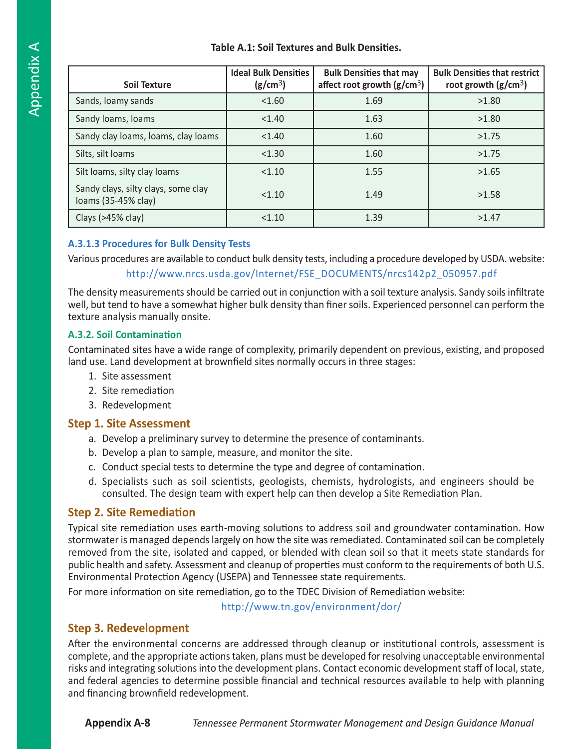### **Table A.1: Soil Textures and Bulk Densities.**

| <b>Soil Texture</b>                                        | <b>Ideal Bulk Densities</b><br>(g/cm <sup>3</sup> ) | <b>Bulk Densities that may</b><br>affect root growth $(g/cm3)$ | <b>Bulk Densities that restrict</b><br>root growth $(g/cm3)$ |
|------------------------------------------------------------|-----------------------------------------------------|----------------------------------------------------------------|--------------------------------------------------------------|
| Sands, loamy sands                                         | < 1.60                                              | 1.69                                                           | >1.80                                                        |
| Sandy loams, loams                                         | < 1.40                                              | 1.63                                                           | >1.80                                                        |
| Sandy clay loams, loams, clay loams                        | < 1.40                                              | 1.60                                                           | >1.75                                                        |
| Silts, silt loams                                          | < 1.30                                              | 1.60                                                           | >1.75                                                        |
| Silt loams, silty clay loams                               | < 1.10                                              | 1.55                                                           | >1.65                                                        |
| Sandy clays, silty clays, some clay<br>loams (35-45% clay) | < 1.10                                              | 1.49                                                           | >1.58                                                        |
| Clays (>45% clay)                                          | < 1.10                                              | 1.39                                                           | >1.47                                                        |

## **A.3.1.3 Procedures for Bulk Density Tests**

Various procedures are available to conduct bulk density tests, including a procedure developed by USDA. website:

## http://www.nrcs.usda.gov/Internet/FSE\_DOCUMENTS/nrcs142p2\_050957.pdf

The density measurements should be carried out in conjunction with a soil texture analysis. Sandy soils infiltrate well, but tend to have a somewhat higher bulk density than finer soils. Experienced personnel can perform the texture analysis manually onsite.

#### **A.3.2. Soil Contamination**

Contaminated sites have a wide range of complexity, primarily dependent on previous, existing, and proposed land use. Land development at brownfield sites normally occurs in three stages:

- 1. Site assessment
- 2. Site remediation
- 3. Redevelopment

## **Step 1. Site Assessment**

- a. Develop a preliminary survey to determine the presence of contaminants.
- b. Develop a plan to sample, measure, and monitor the site.
- c. Conduct special tests to determine the type and degree of contamination.
- d. Specialists such as soil scientists, geologists, chemists, hydrologists, and engineers should be consulted. The design team with expert help can then develop a Site Remediation Plan.

## **Step 2. Site Remediation**

Typical site remediation uses earth-moving solutions to address soil and groundwater contamination. How stormwater is managed depends largely on how the site was remediated. Contaminated soil can be completely removed from the site, isolated and capped, or blended with clean soil so that it meets state standards for public health and safety. Assessment and cleanup of properties must conform to the requirements of both U.S. Environmental Protection Agency (USEPA) and Tennessee state requirements.

For more information on site remediation, go to the TDEC Division of Remediation website:

http://www.tn.gov/environment/dor/

## **Step 3. Redevelopment**

After the environmental concerns are addressed through cleanup or institutional controls, assessment is complete, and the appropriate actions taken, plans must be developed for resolving unacceptable environmental risks and integrating solutions into the development plans. Contact economic development staff of local, state, and federal agencies to determine possible financial and technical resources available to help with planning and financing brownfield redevelopment.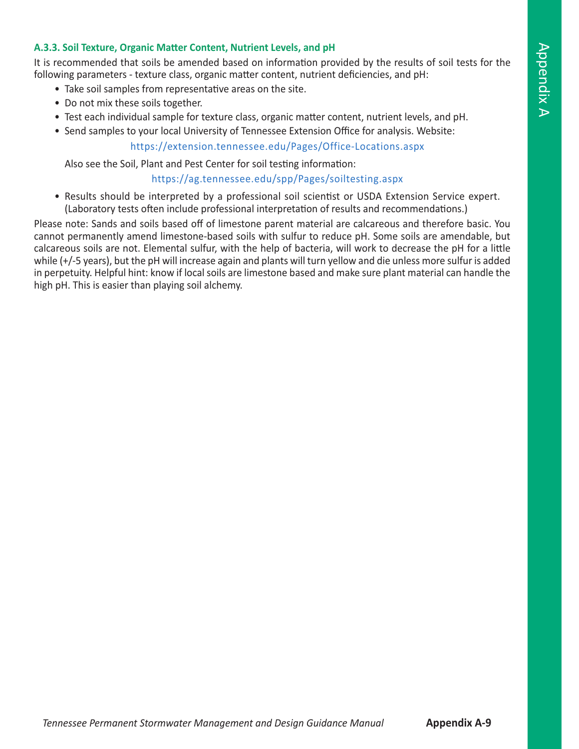#### **A.3.3. Soil Texture, Organic Matter Content, Nutrient Levels, and pH**

It is recommended that soils be amended based on information provided by the results of soil tests for the following parameters - texture class, organic matter content, nutrient deficiencies, and pH:

- Take soil samples from representative areas on the site.
- Do not mix these soils together.
- Test each individual sample for texture class, organic matter content, nutrient levels, and pH.
- Send samples to your local University of Tennessee Extension Office for analysis. Website:

https://extension.tennessee.edu/Pages/Office-Locations.aspx

Also see the Soil, Plant and Pest Center for soil testing information:

https://ag.tennessee.edu/spp/Pages/soiltesting.aspx

• Results should be interpreted by a professional soil scientist or USDA Extension Service expert. (Laboratory tests often include professional interpretation of results and recommendations.)

Please note: Sands and soils based off of limestone parent material are calcareous and therefore basic. You cannot permanently amend limestone-based soils with sulfur to reduce pH. Some soils are amendable, but calcareous soils are not. Elemental sulfur, with the help of bacteria, will work to decrease the pH for a little while (+/-5 years), but the pH will increase again and plants will turn yellow and die unless more sulfur is added in perpetuity. Helpful hint: know if local soils are limestone based and make sure plant material can handle the high pH. This is easier than playing soil alchemy.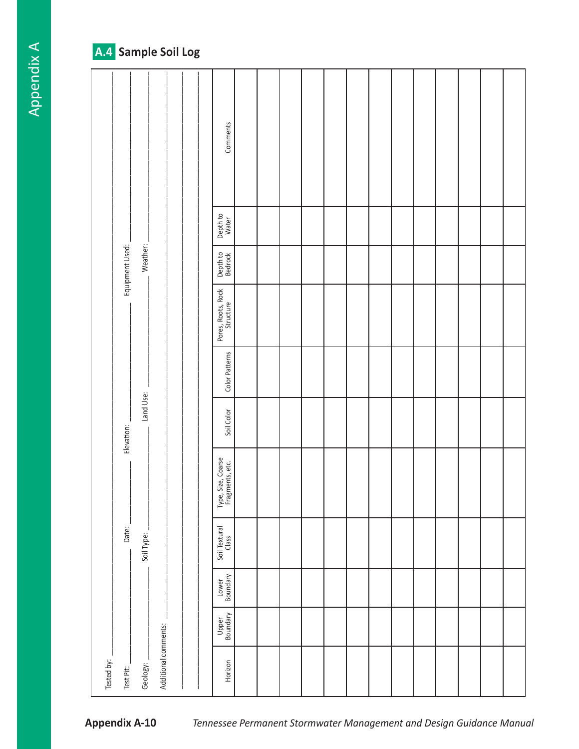## A.4 Sample Soil Log

|                         |            |                      |  | Comments                              |  |  |  |  |  |  |  |
|-------------------------|------------|----------------------|--|---------------------------------------|--|--|--|--|--|--|--|
|                         |            |                      |  | Depth to<br>Water                     |  |  |  |  |  |  |  |
| Equipment Used:         | Weather:   |                      |  | Depth to<br>Bedrock                   |  |  |  |  |  |  |  |
|                         |            |                      |  | Pores, Roots, Rock<br>Structure       |  |  |  |  |  |  |  |
|                         |            |                      |  | Color Patterns                        |  |  |  |  |  |  |  |
| Elevation:              | Land Use:  |                      |  | Soil Color                            |  |  |  |  |  |  |  |
|                         |            |                      |  | Type, Size, Coarse<br>Fragments, etc. |  |  |  |  |  |  |  |
| Date:                   | Soil Type: |                      |  | Soil Textural<br>Class                |  |  |  |  |  |  |  |
|                         |            |                      |  | Lower<br>Boundary                     |  |  |  |  |  |  |  |
|                         |            |                      |  | Upper<br>Boundary                     |  |  |  |  |  |  |  |
| Tested by:<br>Test Pit: | Geology:   | Additional comments: |  | Horizon                               |  |  |  |  |  |  |  |